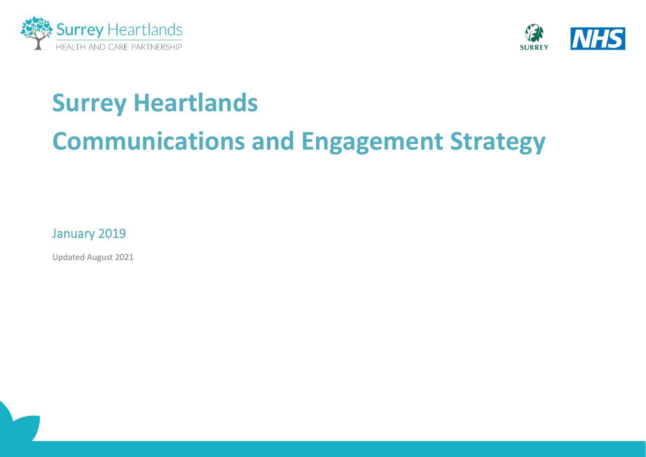



# **Surrey Heartlands**

# **Communications and Engagement Strategy**

January 2019

Updated August 2021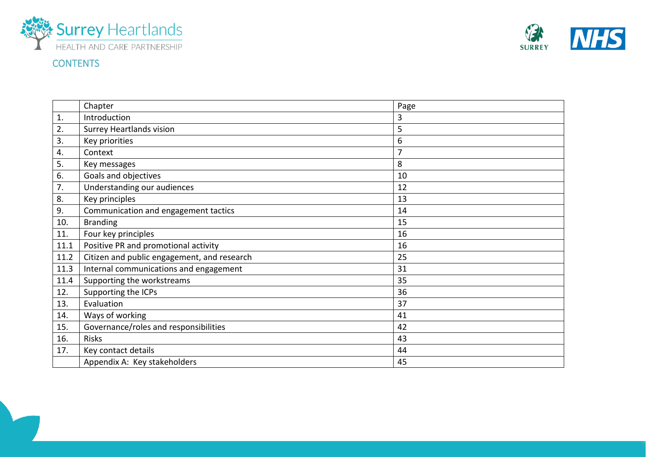



# **CONTENTS**

|      | Chapter                                     | Page           |
|------|---------------------------------------------|----------------|
| 1.   | Introduction                                | 3              |
| 2.   | <b>Surrey Heartlands vision</b>             | 5              |
| 3.   | Key priorities                              | 6              |
| 4.   | Context                                     | $\overline{7}$ |
| 5.   | Key messages                                | 8              |
| 6.   | Goals and objectives                        | 10             |
| 7.   | Understanding our audiences                 | 12             |
| 8.   | Key principles                              | 13             |
| 9.   | Communication and engagement tactics        | 14             |
| 10.  | <b>Branding</b>                             | 15             |
| 11.  | Four key principles                         | 16             |
| 11.1 | Positive PR and promotional activity        | 16             |
| 11.2 | Citizen and public engagement, and research | 25             |
| 11.3 | Internal communications and engagement      | 31             |
| 11.4 | Supporting the workstreams                  | 35             |
| 12.  | Supporting the ICPs                         | 36             |
| 13.  | Evaluation                                  | 37             |
| 14.  | Ways of working                             | 41             |
| 15.  | Governance/roles and responsibilities       | 42             |
| 16.  | <b>Risks</b>                                | 43             |
| 17.  | Key contact details                         | 44             |
|      | Appendix A: Key stakeholders                | 45             |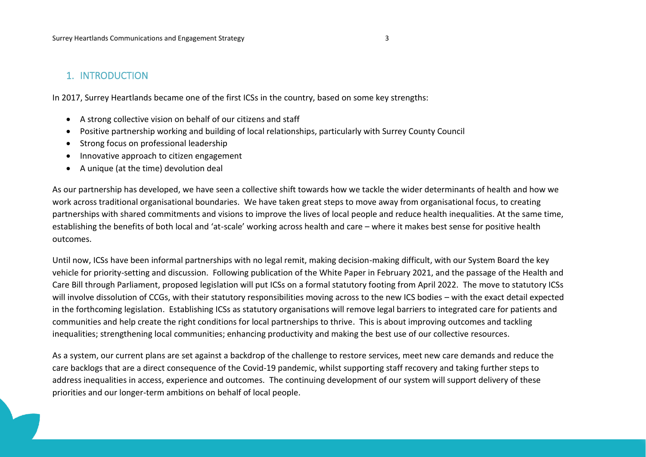# 1. INTRODUCTION

In 2017, Surrey Heartlands became one of the first ICSs in the country, based on some key strengths:

- A strong collective vision on behalf of our citizens and staff
- Positive partnership working and building of local relationships, particularly with Surrey County Council
- Strong focus on professional leadership
- Innovative approach to citizen engagement
- A unique (at the time) devolution deal

As our partnership has developed, we have seen a collective shift towards how we tackle the wider determinants of health and how we work across traditional organisational boundaries. We have taken great steps to move away from organisational focus, to creating partnerships with shared commitments and visions to improve the lives of local people and reduce health inequalities. At the same time, establishing the benefits of both local and 'at-scale' working across health and care – where it makes best sense for positive health outcomes.

Until now, ICSs have been informal partnerships with no legal remit, making decision-making difficult, with our System Board the key vehicle for priority-setting and discussion. Following publication of the White Paper in February 2021, and the passage of the Health and Care Bill through Parliament, proposed legislation will put ICSs on a formal statutory footing from April 2022. The move to statutory ICSs will involve dissolution of CCGs, with their statutory responsibilities moving across to the new ICS bodies – with the exact detail expected in the forthcoming legislation. Establishing ICSs as statutory organisations will remove legal barriers to integrated care for patients and communities and help create the right conditions for local partnerships to thrive. This is about improving outcomes and tackling inequalities; strengthening local communities; enhancing productivity and making the best use of our collective resources.

As a system, our current plans are set against a backdrop of the challenge to restore services, meet new care demands and reduce the care backlogs that are a direct consequence of the Covid-19 pandemic, whilst supporting staff recovery and taking further steps to address inequalities in access, experience and outcomes. The continuing development of our system will support delivery of these priorities and our longer-term ambitions on behalf of local people.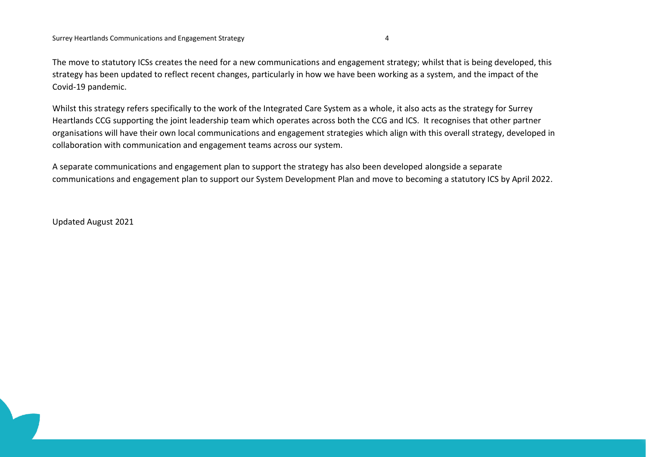The move to statutory ICSs creates the need for a new communications and engagement strategy; whilst that is being developed, this strategy has been updated to reflect recent changes, particularly in how we have been working as a system, and the impact of the Covid-19 pandemic.

Whilst this strategy refers specifically to the work of the Integrated Care System as a whole, it also acts as the strategy for Surrey Heartlands CCG supporting the joint leadership team which operates across both the CCG and ICS. It recognises that other partner organisations will have their own local communications and engagement strategies which align with this overall strategy, developed in collaboration with communication and engagement teams across our system.

A separate communications and engagement plan to support the strategy has also been developed alongside a separate communications and engagement plan to support our System Development Plan and move to becoming a statutory ICS by April 2022.

Updated August 2021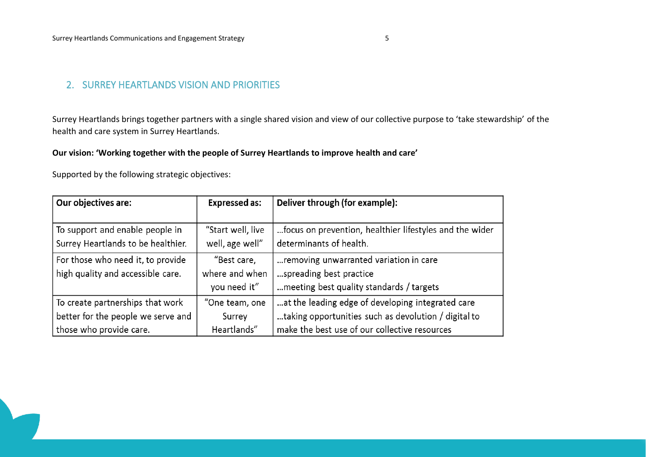# 2. SURREY HEARTLANDS VISION AND PRIORITIES

Surrey Heartlands brings together partners with a single shared vision and view of our collective purpose to 'take stewardship' of the health and care system in Surrey Heartlands.

# **Our vision: 'Working together with the people of Surrey Heartlands to improve health and care'**

Supported by the following strategic objectives:

| Our objectives are:                | <b>Expressed as:</b> | Deliver through (for example):                          |
|------------------------------------|----------------------|---------------------------------------------------------|
|                                    |                      |                                                         |
| To support and enable people in    | "Start well, live    | focus on prevention, healthier lifestyles and the wider |
| Surrey Heartlands to be healthier. | well, age well"      | determinants of health.                                 |
| For those who need it, to provide  | "Best care,          | removing unwarranted variation in care                  |
| high quality and accessible care.  | where and when       | spreading best practice                                 |
|                                    | you need it"         | meeting best quality standards / targets                |
| To create partnerships that work   | "One team, one       | at the leading edge of developing integrated care       |
| better for the people we serve and | Surrey               | taking opportunities such as devolution / digital to    |
| those who provide care.            | Heartlands"          | make the best use of our collective resources           |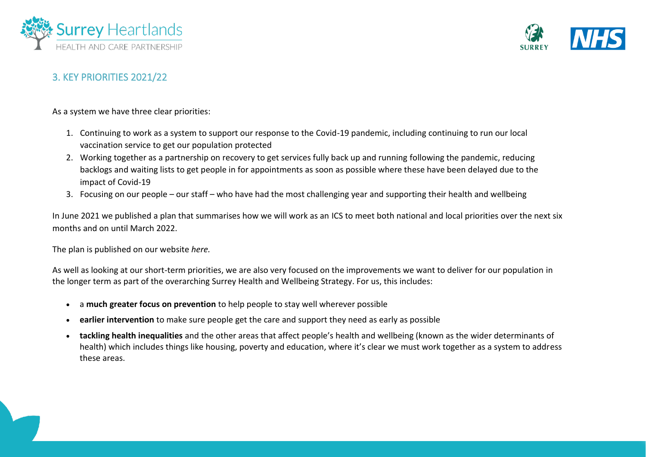



# 3. KEY PRIORITIES 2021/22

As a system we have three clear priorities:

- 1. Continuing to work as a system to support our response to the Covid-19 pandemic, including continuing to run our local vaccination service to get our population protected
- 2. Working together as a partnership on recovery to get services fully back up and running following the pandemic, reducing backlogs and waiting lists to get people in for appointments as soon as possible where these have been delayed due to the impact of Covid-19
- 3. Focusing on our people our staff who have had the most challenging year and supporting their health and wellbeing

In June 2021 we published a plan that summarises how we will work as an ICS to meet both national and local priorities over the next six months and on until March 2022.

The plan is published on our website *here.* 

As well as looking at our short-term priorities, we are also very focused on the improvements we want to deliver for our population in the longer term as part of the overarching Surrey Health and Wellbeing Strategy. For us, this includes:

- a **much greater focus on prevention** to help people to stay well wherever possible
- **earlier intervention** to make sure people get the care and support they need as early as possible
- **tackling health inequalities** and the other areas that affect people's health and wellbeing (known as the wider determinants of health) which includes things like housing, poverty and education, where it's clear we must work together as a system to address these areas.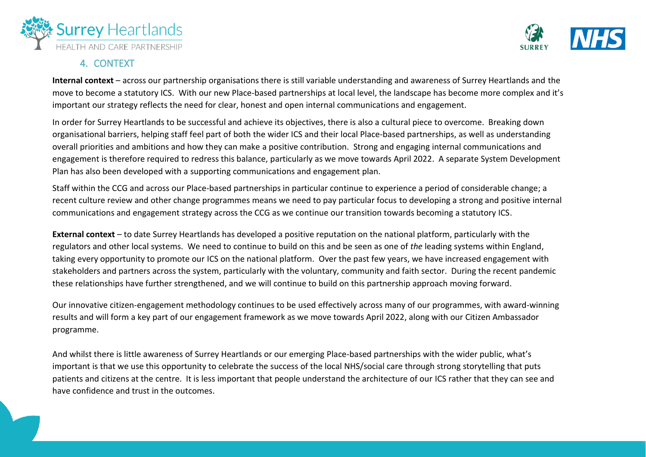



# 4. CONTEXT

**Internal context** – across our partnership organisations there is still variable understanding and awareness of Surrey Heartlands and the move to become a statutory ICS. With our new Place-based partnerships at local level, the landscape has become more complex and it's important our strategy reflects the need for clear, honest and open internal communications and engagement.

In order for Surrey Heartlands to be successful and achieve its objectives, there is also a cultural piece to overcome. Breaking down organisational barriers, helping staff feel part of both the wider ICS and their local Place-based partnerships, as well as understanding overall priorities and ambitions and how they can make a positive contribution. Strong and engaging internal communications and engagement is therefore required to redress this balance, particularly as we move towards April 2022. A separate System Development Plan has also been developed with a supporting communications and engagement plan.

Staff within the CCG and across our Place-based partnerships in particular continue to experience a period of considerable change; a recent culture review and other change programmes means we need to pay particular focus to developing a strong and positive internal communications and engagement strategy across the CCG as we continue our transition towards becoming a statutory ICS.

**External context** – to date Surrey Heartlands has developed a positive reputation on the national platform, particularly with the regulators and other local systems. We need to continue to build on this and be seen as one of *the* leading systems within England, taking every opportunity to promote our ICS on the national platform. Over the past few years, we have increased engagement with stakeholders and partners across the system, particularly with the voluntary, community and faith sector. During the recent pandemic these relationships have further strengthened, and we will continue to build on this partnership approach moving forward.

Our innovative citizen-engagement methodology continues to be used effectively across many of our programmes, with award-winning results and will form a key part of our engagement framework as we move towards April 2022, along with our Citizen Ambassador programme.

And whilst there is little awareness of Surrey Heartlands or our emerging Place-based partnerships with the wider public, what's important is that we use this opportunity to celebrate the success of the local NHS/social care through strong storytelling that puts patients and citizens at the centre. It is less important that people understand the architecture of our ICS rather that they can see and have confidence and trust in the outcomes.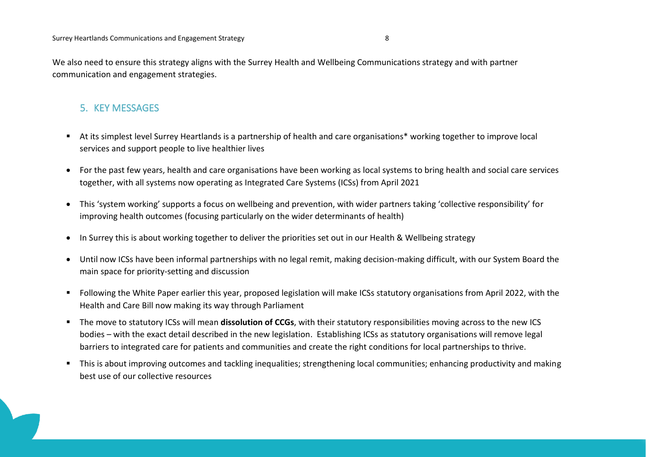We also need to ensure this strategy aligns with the Surrey Health and Wellbeing Communications strategy and with partner communication and engagement strategies.

# 5. KEY MESSAGES

- At its simplest level Surrey Heartlands is a partnership of health and care organisations\* working together to improve local services and support people to live healthier lives
- For the past few years, health and care organisations have been working as local systems to bring health and social care services together, with all systems now operating as Integrated Care Systems (ICSs) from April 2021
- This 'system working' supports a focus on wellbeing and prevention, with wider partners taking 'collective responsibility' for improving health outcomes (focusing particularly on the wider determinants of health)
- In Surrey this is about working together to deliver the priorities set out in our Health & Wellbeing strategy
- Until now ICSs have been informal partnerships with no legal remit, making decision-making difficult, with our System Board the main space for priority-setting and discussion
- Following the White Paper earlier this year, proposed legislation will make ICSs statutory organisations from April 2022, with the Health and Care Bill now making its way through Parliament
- The move to statutory ICSs will mean **dissolution of CCGs**, with their statutory responsibilities moving across to the new ICS bodies – with the exact detail described in the new legislation. Establishing ICSs as statutory organisations will remove legal barriers to integrated care for patients and communities and create the right conditions for local partnerships to thrive.
- This is about improving outcomes and tackling inequalities; strengthening local communities; enhancing productivity and making best use of our collective resources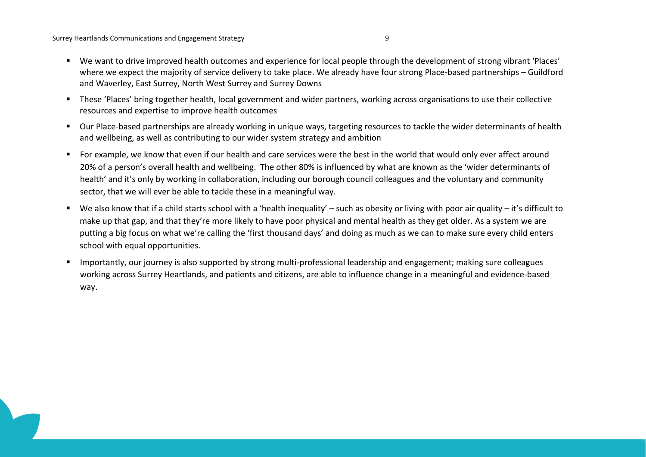- We want to drive improved health outcomes and experience for local people through the development of strong vibrant 'Places' where we expect the majority of service delivery to take place. We already have four strong Place-based partnerships – Guildford and Waverley, East Surrey, North West Surrey and Surrey Downs
- These 'Places' bring together health, local government and wider partners, working across organisations to use their collective resources and expertise to improve health outcomes
- Our Place-based partnerships are already working in unique ways, targeting resources to tackle the wider determinants of health and wellbeing, as well as contributing to our wider system strategy and ambition
- For example, we know that even if our health and care services were the best in the world that would only ever affect around 20% of a person's overall health and wellbeing. The other 80% is influenced by what are known as the 'wider determinants of health' and it's only by working in collaboration, including our borough council colleagues and the voluntary and community sector, that we will ever be able to tackle these in a meaningful way.
- We also know that if a child starts school with a 'health inequality' such as obesity or living with poor air quality it's difficult to make up that gap, and that they're more likely to have poor physical and mental health as they get older. As a system we are putting a big focus on what we're calling the 'first thousand days' and doing as much as we can to make sure every child enters school with equal opportunities.
- Importantly, our journey is also supported by strong multi-professional leadership and engagement; making sure colleagues working across Surrey Heartlands, and patients and citizens, are able to influence change in a meaningful and evidence-based way.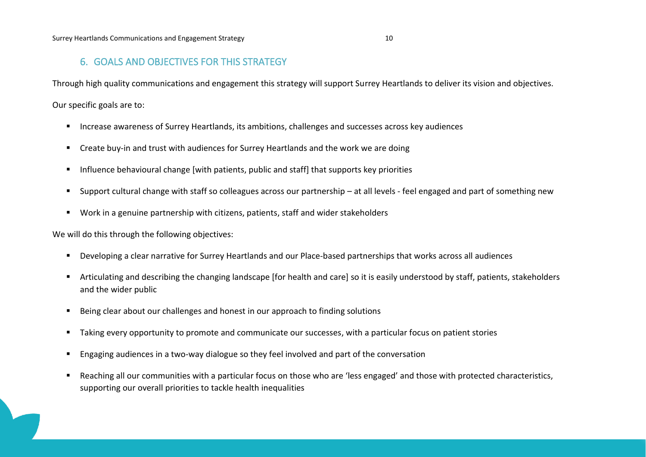# 6. GOALS AND OBJECTIVES FOR THIS STRATEGY

Through high quality communications and engagement this strategy will support Surrey Heartlands to deliver its vision and objectives.

Our specific goals are to:

- Increase awareness of Surrey Heartlands, its ambitions, challenges and successes across key audiences
- Create buy-in and trust with audiences for Surrey Heartlands and the work we are doing
- Influence behavioural change [with patients, public and staff] that supports key priorities
- Support cultural change with staff so colleagues across our partnership at all levels feel engaged and part of something new
- Work in a genuine partnership with citizens, patients, staff and wider stakeholders

We will do this through the following objectives:

- Developing a clear narrative for Surrey Heartlands and our Place-based partnerships that works across all audiences
- Articulating and describing the changing landscape [for health and care] so it is easily understood by staff, patients, stakeholders and the wider public
- Being clear about our challenges and honest in our approach to finding solutions
- Taking every opportunity to promote and communicate our successes, with a particular focus on patient stories
- **E** Engaging audiences in a two-way dialogue so they feel involved and part of the conversation
- Reaching all our communities with a particular focus on those who are 'less engaged' and those with protected characteristics, supporting our overall priorities to tackle health inequalities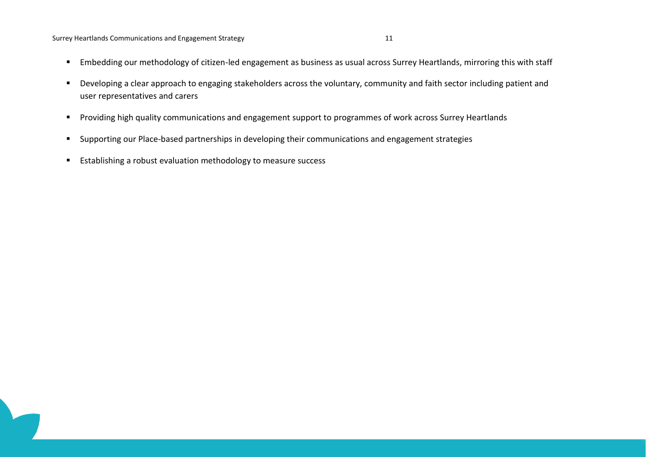#### Surrey Heartlands Communications and Engagement Strategy 11 11 11 12

- Embedding our methodology of citizen-led engagement as business as usual across Surrey Heartlands, mirroring this with staff
- Developing a clear approach to engaging stakeholders across the voluntary, community and faith sector including patient and user representatives and carers
- Providing high quality communications and engagement support to programmes of work across Surrey Heartlands
- Supporting our Place-based partnerships in developing their communications and engagement strategies
- Establishing a robust evaluation methodology to measure success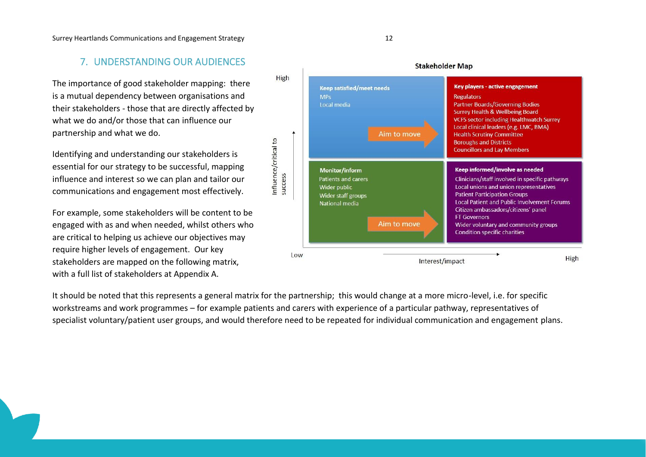#### Surrey Heartlands Communications and Engagement Strategy 12

# 7. UNDERSTANDING OUR AUDIENCES

The importance of good stakeholder mapping: there is a mutual dependency between organisations and their stakeholders - those that are directly affected by what we do and/or those that can influence our partnership and what we do.

Identifying and understanding our stakeholders is essential for our strategy to be successful, mapping influence and interest so we can plan and tailor our communications and engagement most effectively.

For example, some stakeholders will be content to be engaged with as and when needed, whilst others who are critical to helping us achieve our objectives may require higher levels of engagement. Our key stakeholders are mapped on the following matrix, with a full list of stakeholders at Appendix A.



It should be noted that this represents a general matrix for the partnership; this would change at a more micro-level, i.e. for specific workstreams and work programmes – for example patients and carers with experience of a particular pathway, representatives of specialist voluntary/patient user groups, and would therefore need to be repeated for individual communication and engagement plans.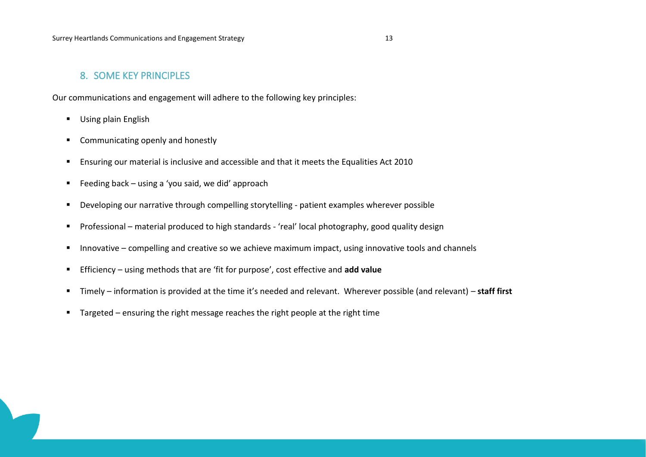# 8. SOME KEY PRINCIPLES

Our communications and engagement will adhere to the following key principles:

- Using plain English
- Communicating openly and honestly
- Ensuring our material is inclusive and accessible and that it meets the Equalities Act 2010
- Feeding back using a 'you said, we did' approach
- Developing our narrative through compelling storytelling patient examples wherever possible
- Professional material produced to high standards 'real' local photography, good quality design
- Innovative compelling and creative so we achieve maximum impact, using innovative tools and channels
- Efficiency using methods that are 'fit for purpose', cost effective and **add value**
- Timely information is provided at the time it's needed and relevant. Wherever possible (and relevant) **staff first**
- Targeted ensuring the right message reaches the right people at the right time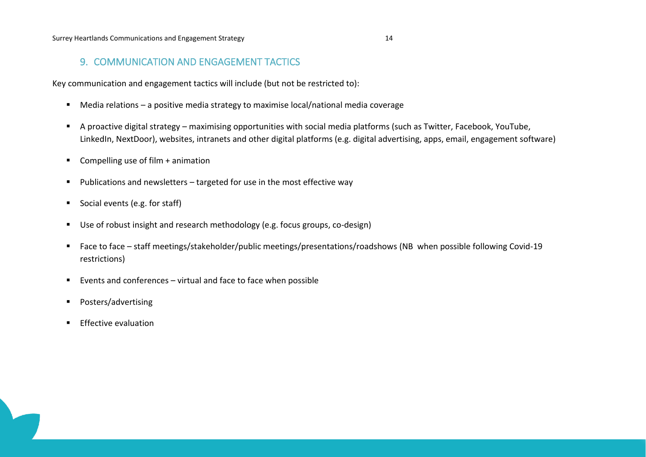# 9. COMMUNICATION AND ENGAGEMENT TACTICS

Key communication and engagement tactics will include (but not be restricted to):

- Media relations a positive media strategy to maximise local/national media coverage
- A proactive digital strategy maximising opportunities with social media platforms (such as Twitter, Facebook, YouTube, LinkedIn, NextDoor), websites, intranets and other digital platforms (e.g. digital advertising, apps, email, engagement software)
- Compelling use of film + animation
- Publications and newsletters targeted for use in the most effective way
- Social events (e.g. for staff)
- Use of robust insight and research methodology (e.g. focus groups, co-design)
- Face to face staff meetings/stakeholder/public meetings/presentations/roadshows (NB when possible following Covid-19 restrictions)
- Events and conferences virtual and face to face when possible
- Posters/advertising
- **Effective evaluation**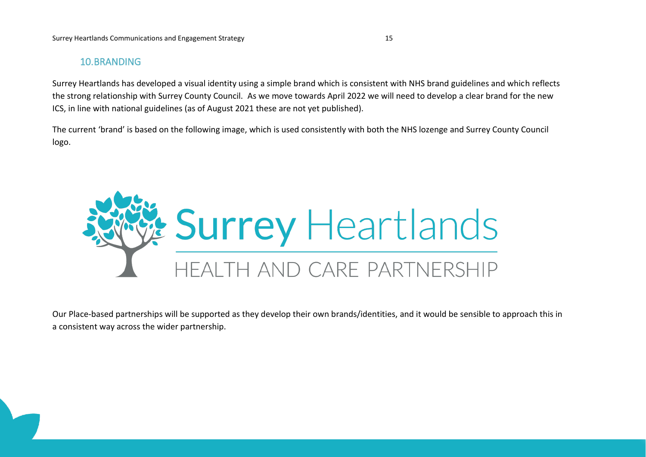# 10.BRANDING

Surrey Heartlands has developed a visual identity using a simple brand which is consistent with NHS brand guidelines and which reflects the strong relationship with Surrey County Council. As we move towards April 2022 we will need to develop a clear brand for the new ICS, in line with national guidelines (as of August 2021 these are not yet published).

The current 'brand' is based on the following image, which is used consistently with both the NHS lozenge and Surrey County Council logo.



Our Place-based partnerships will be supported as they develop their own brands/identities, and it would be sensible to approach this in a consistent way across the wider partnership.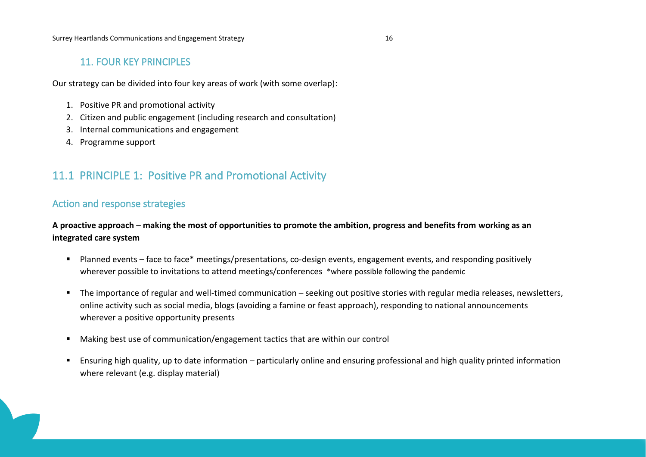# 11. FOUR KEY PRINCIPLES

Our strategy can be divided into four key areas of work (with some overlap):

- 1. Positive PR and promotional activity
- 2. Citizen and public engagement (including research and consultation)
- 3. Internal communications and engagement
- 4. Programme support

# 11.1 PRINCIPLE 1: Positive PR and Promotional Activity

# Action and response strategies

**A proactive approach** – **making the most of opportunities to promote the ambition, progress and benefits from working as an integrated care system**

- Planned events face to face\* meetings/presentations, co-design events, engagement events, and responding positively wherever possible to invitations to attend meetings/conferences \*where possible following the pandemic
- The importance of regular and well-timed communication seeking out positive stories with regular media releases, newsletters, online activity such as social media, blogs (avoiding a famine or feast approach), responding to national announcements wherever a positive opportunity presents
- Making best use of communication/engagement tactics that are within our control
- Ensuring high quality, up to date information particularly online and ensuring professional and high quality printed information where relevant (e.g. display material)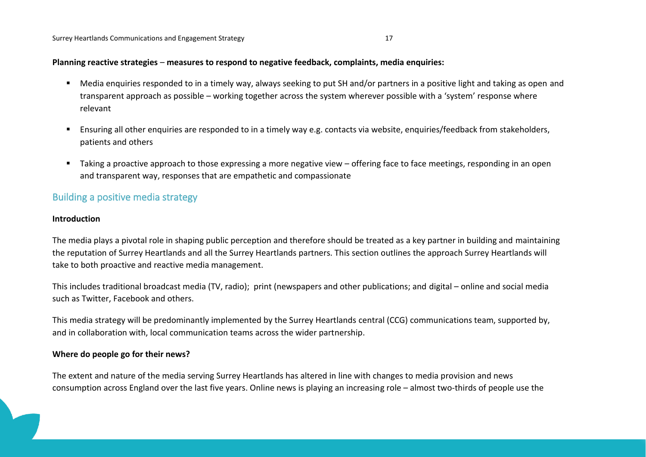#### **Planning reactive strategies** – **measures to respond to negative feedback, complaints, media enquiries:**

- Media enquiries responded to in a timely way, always seeking to put SH and/or partners in a positive light and taking as open and transparent approach as possible – working together across the system wherever possible with a 'system' response where relevant
- Ensuring all other enquiries are responded to in a timely way e.g. contacts via website, enquiries/feedback from stakeholders, patients and others
- Taking a proactive approach to those expressing a more negative view offering face to face meetings, responding in an open and transparent way, responses that are empathetic and compassionate

# Building a positive media strategy

#### **Introduction**

The media plays a pivotal role in shaping public perception and therefore should be treated as a key partner in building and maintaining the reputation of Surrey Heartlands and all the Surrey Heartlands partners. This section outlines the approach Surrey Heartlands will take to both proactive and reactive media management.

This includes traditional broadcast media (TV, radio); print (newspapers and other publications; and digital – online and social media such as Twitter, Facebook and others.

This media strategy will be predominantly implemented by the Surrey Heartlands central (CCG) communications team, supported by, and in collaboration with, local communication teams across the wider partnership.

#### **Where do people go for their news?**

The extent and nature of the media serving Surrey Heartlands has altered in line with changes to media provision and news consumption across England over the last five years. Online news is playing an increasing role – almost two-thirds of people use the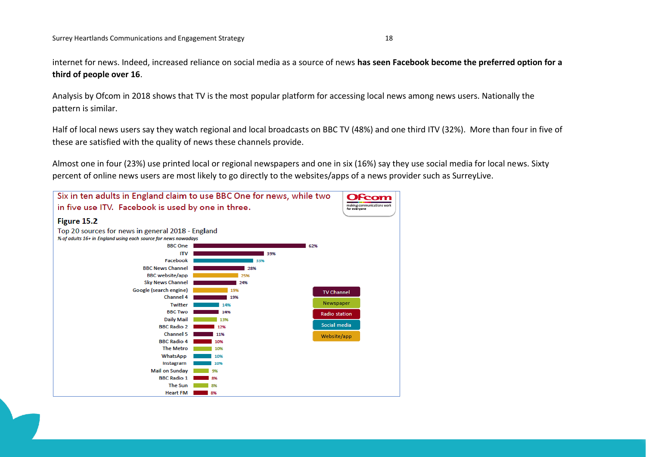internet for news. Indeed, increased reliance on social media as a source of news **has seen Facebook become the preferred option for a third of people over 16**.

Analysis by Ofcom in 2018 shows that TV is the most popular platform for accessing local news among news users. Nationally the pattern is similar.

Half of local news users say they watch regional and local broadcasts on BBC TV (48%) and one third ITV (32%). More than four in five of these are satisfied with the quality of news these channels provide.

Almost one in four (23%) use printed local or regional newspapers and one in six (16%) say they use social media for local news. Sixty percent of online news users are most likely to go directly to the websites/apps of a news provider such as SurreyLive.

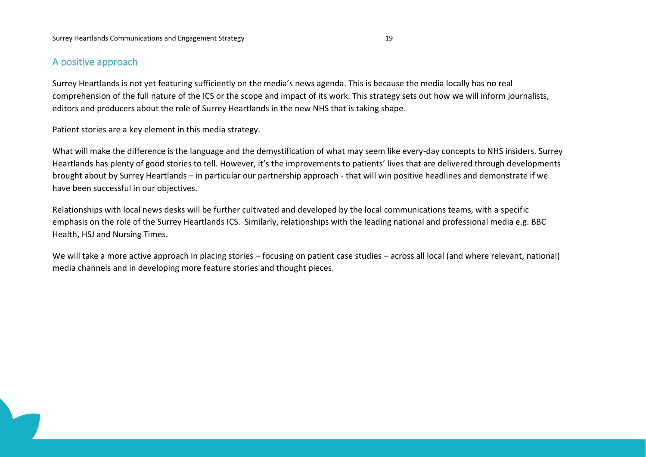# A positive approach

Surrey Heartlands is not yet featuring sufficiently on the media's news agenda. This is because the media locally has no real comprehension of the full nature of the ICS or the scope and impact of its work. This strategy sets out how we will inform journalists, editors and producers about the role of Surrey Heartlands in the new NHS that is taking shape.

Patient stories are a key element in this media strategy.

What will make the difference is the language and the demystification of what may seem like every-day concepts to NHS insiders. Surrey Heartlands has plenty of good stories to tell. However, it's the improvements to patients' lives that are delivered through developments brought about by Surrey Heartlands – in particular our partnership approach - that will win positive headlines and demonstrate if we have been successful in our objectives.

Relationships with local news desks will be further cultivated and developed by the local communications teams, with a specific emphasis on the role of the Surrey Heartlands ICS. Similarly, relationships with the leading national and professional media e.g. BBC Health, HSJ and Nursing Times.

We will take a more active approach in placing stories – focusing on patient case studies – across all local (and where relevant, national) media channels and in developing more feature stories and thought pieces.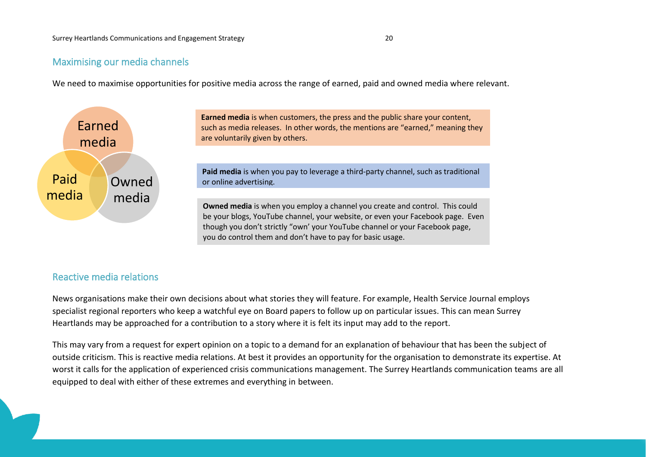# Maximising our media channels

We need to maximise opportunities for positive media across the range of earned, paid and owned media where relevant.



**Earned media** is when customers, the press and the public share your content, such as media releases. In other words, the mentions are "earned," meaning they are voluntarily given by others.

**Paid media** is when you pay to leverage a third-party channel, such as traditional or online advertising.

**Owned media** is when you employ a channel you create and control. This could be your blogs, YouTube channel, your website, or even your Facebook page. Even though you don't strictly "own' your YouTube channel or your Facebook page, you do control them and don't have to pay for basic usage.

# Reactive media relations

News organisations make their own decisions about what stories they will feature. For example, Health Service Journal employs specialist regional reporters who keep a watchful eye on Board papers to follow up on particular issues. This can mean Surrey Heartlands may be approached for a contribution to a story where it is felt its input may add to the report.

This may vary from a request for expert opinion on a topic to a demand for an explanation of behaviour that has been the subject of outside criticism. This is reactive media relations. At best it provides an opportunity for the organisation to demonstrate its expertise. At worst it calls for the application of experienced crisis communications management. The Surrey Heartlands communication teams are all equipped to deal with either of these extremes and everything in between.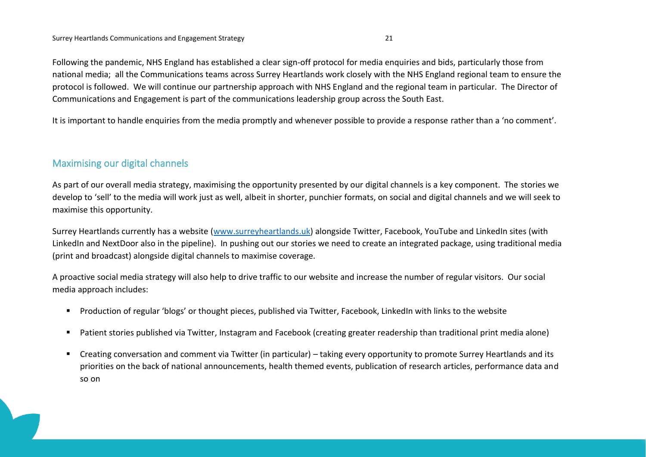Following the pandemic, NHS England has established a clear sign-off protocol for media enquiries and bids, particularly those from national media; all the Communications teams across Surrey Heartlands work closely with the NHS England regional team to ensure the protocol is followed. We will continue our partnership approach with NHS England and the regional team in particular. The Director of Communications and Engagement is part of the communications leadership group across the South East.

It is important to handle enquiries from the media promptly and whenever possible to provide a response rather than a 'no comment'.

# Maximising our digital channels

As part of our overall media strategy, maximising the opportunity presented by our digital channels is a key component. The stories we develop to 'sell' to the media will work just as well, albeit in shorter, punchier formats, on social and digital channels and we will seek to maximise this opportunity.

Surrey Heartlands currently has a website [\(www.surreyheartlands.uk\)](http://www.surreyheartlands.uk/) alongside Twitter, Facebook, YouTube and LinkedIn sites (with LinkedIn and NextDoor also in the pipeline). In pushing out our stories we need to create an integrated package, using traditional media (print and broadcast) alongside digital channels to maximise coverage.

A proactive social media strategy will also help to drive traffic to our website and increase the number of regular visitors. Our social media approach includes:

- Production of regular 'blogs' or thought pieces, published via Twitter, Facebook, LinkedIn with links to the website
- Patient stories published via Twitter, Instagram and Facebook (creating greater readership than traditional print media alone)
- Creating conversation and comment via Twitter (in particular) taking every opportunity to promote Surrey Heartlands and its priorities on the back of national announcements, health themed events, publication of research articles, performance data and so on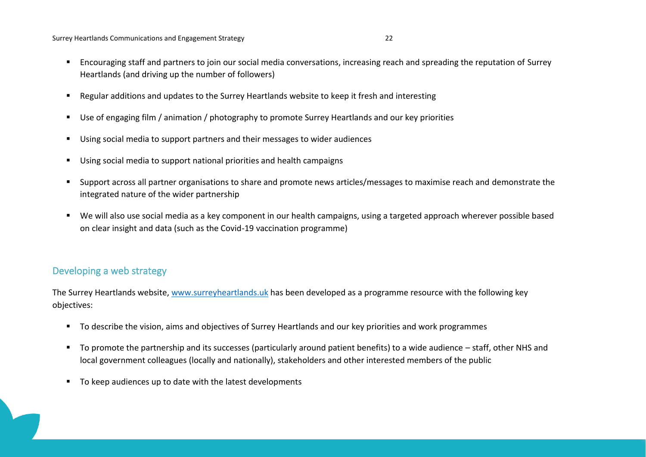Surrey Heartlands Communications and Engagement Strategy 22

- Encouraging staff and partners to join our social media conversations, increasing reach and spreading the reputation of Surrey Heartlands (and driving up the number of followers)
- Regular additions and updates to the Surrey Heartlands website to keep it fresh and interesting
- Use of engaging film / animation / photography to promote Surrey Heartlands and our key priorities
- Using social media to support partners and their messages to wider audiences
- Using social media to support national priorities and health campaigns
- Support across all partner organisations to share and promote news articles/messages to maximise reach and demonstrate the integrated nature of the wider partnership
- We will also use social media as a key component in our health campaigns, using a targeted approach wherever possible based on clear insight and data (such as the Covid-19 vaccination programme)

# Developing a web strategy

The Surrey Heartlands website, [www.surreyheartlands.uk](http://www.surreyheartlands.uk/) has been developed as a programme resource with the following key objectives:

- To describe the vision, aims and objectives of Surrey Heartlands and our key priorities and work programmes
- To promote the partnership and its successes (particularly around patient benefits) to a wide audience staff, other NHS and local government colleagues (locally and nationally), stakeholders and other interested members of the public
- To keep audiences up to date with the latest developments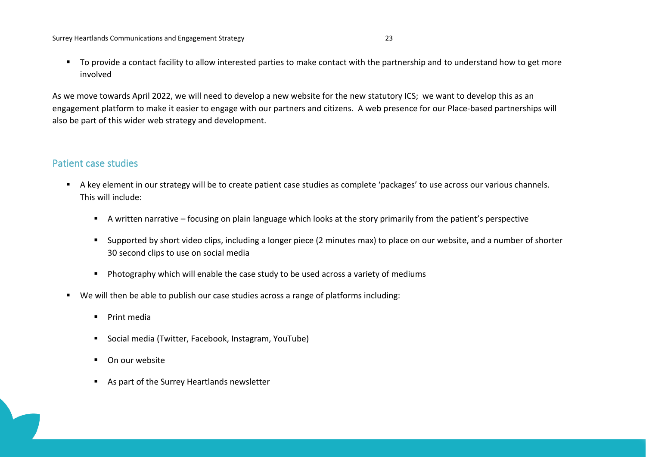■ To provide a contact facility to allow interested parties to make contact with the partnership and to understand how to get more involved

As we move towards April 2022, we will need to develop a new website for the new statutory ICS; we want to develop this as an engagement platform to make it easier to engage with our partners and citizens. A web presence for our Place-based partnerships will also be part of this wider web strategy and development.

# Patient case studies

- A key element in our strategy will be to create patient case studies as complete 'packages' to use across our various channels. This will include:
	- A written narrative focusing on plain language which looks at the story primarily from the patient's perspective
	- Supported by short video clips, including a longer piece (2 minutes max) to place on our website, and a number of shorter 30 second clips to use on social media
	- Photography which will enable the case study to be used across a variety of mediums
- We will then be able to publish our case studies across a range of platforms including:
	- Print media
	- Social media (Twitter, Facebook, Instagram, YouTube)
	- On our website
	- As part of the Surrey Heartlands newsletter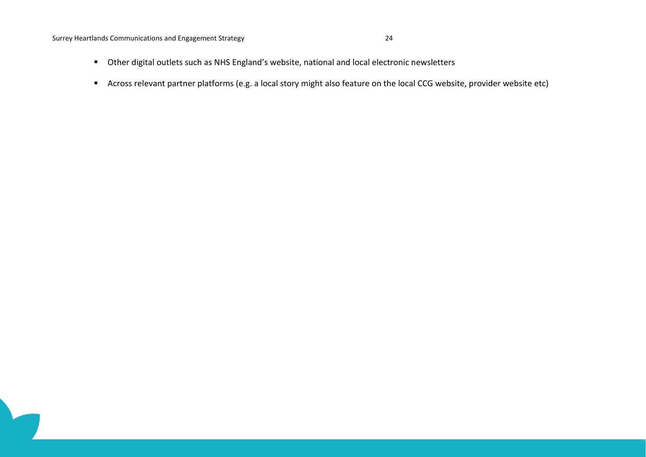Surrey Heartlands Communications and Engagement Strategy 24

- Other digital outlets such as NHS England's website, national and local electronic newsletters
- Across relevant partner platforms (e.g. a local story might also feature on the local CCG website, provider website etc)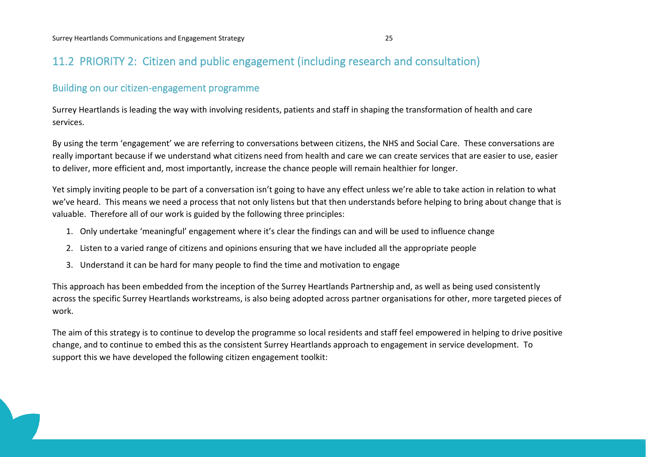# 11.2 PRIORITY 2: Citizen and public engagement (including research and consultation)

# Building on our citizen-engagement programme

Surrey Heartlands is leading the way with involving residents, patients and staff in shaping the transformation of health and care services.

By using the term 'engagement' we are referring to conversations between citizens, the NHS and Social Care. These conversations are really important because if we understand what citizens need from health and care we can create services that are easier to use, easier to deliver, more efficient and, most importantly, increase the chance people will remain healthier for longer.

Yet simply inviting people to be part of a conversation isn't going to have any effect unless we're able to take action in relation to what we've heard. This means we need a process that not only listens but that then understands before helping to bring about change that is valuable. Therefore all of our work is guided by the following three principles:

- 1. Only undertake 'meaningful' engagement where it's clear the findings can and will be used to influence change
- 2. Listen to a varied range of citizens and opinions ensuring that we have included all the appropriate people
- 3. Understand it can be hard for many people to find the time and motivation to engage

This approach has been embedded from the inception of the Surrey Heartlands Partnership and, as well as being used consistently across the specific Surrey Heartlands workstreams, is also being adopted across partner organisations for other, more targeted pieces of work.

The aim of this strategy is to continue to develop the programme so local residents and staff feel empowered in helping to drive positive change, and to continue to embed this as the consistent Surrey Heartlands approach to engagement in service development. To support this we have developed the following citizen engagement toolkit: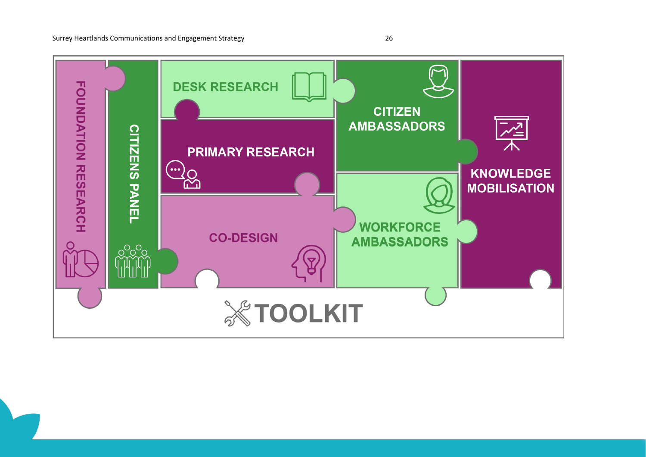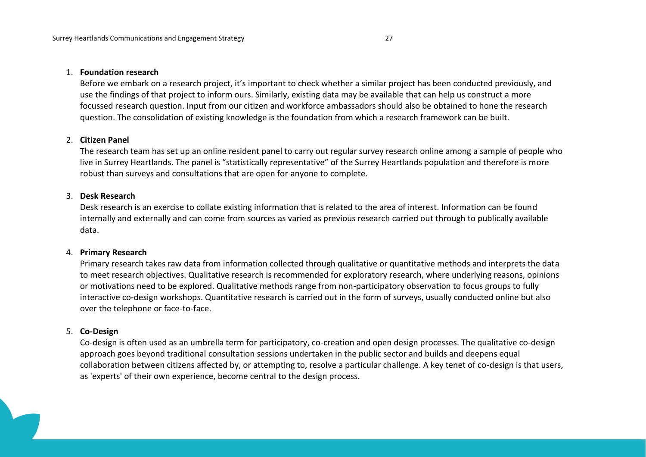#### 1. **Foundation research**

Before we embark on a research project, it's important to check whether a similar project has been conducted previously, and use the findings of that project to inform ours. Similarly, existing data may be available that can help us construct a more focussed research question. Input from our citizen and workforce ambassadors should also be obtained to hone the research question. The consolidation of existing knowledge is the foundation from which a research framework can be built.

#### 2. **Citizen Panel**

The research team has set up an online resident panel to carry out regular survey research online among a sample of people who live in Surrey Heartlands. The panel is "statistically representative" of the Surrey Heartlands population and therefore is more robust than surveys and consultations that are open for anyone to complete.

#### 3. **Desk Research**

Desk research is an exercise to collate existing information that is related to the area of interest. Information can be found internally and externally and can come from sources as varied as previous research carried out through to publically available data.

#### 4. **Primary Research**

Primary research takes raw data from information collected through qualitative or quantitative methods and interprets the data to meet research objectives. Qualitative research is recommended for exploratory research, where underlying reasons, opinions or motivations need to be explored. Qualitative methods range from non-participatory observation to focus groups to fully interactive co-design workshops. Quantitative research is carried out in the form of surveys, usually conducted online but also over the telephone or face-to-face.

#### 5. **Co-Design**

Co-design is often used as an umbrella term for participatory, co-creation and open design processes. The qualitative co-design approach goes beyond traditional consultation sessions undertaken in the public sector and builds and deepens equal collaboration between citizens affected by, or attempting to, resolve a particular challenge. A key tenet of co-design is that users, as 'experts' of their own experience, become central to the design process.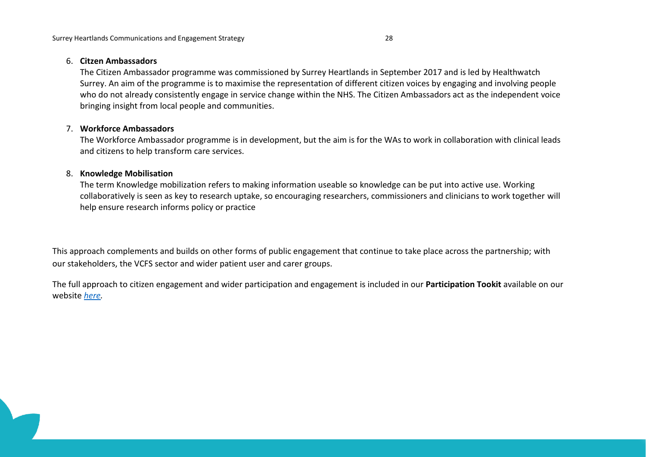#### 6. **Citzen Ambassadors**

The Citizen Ambassador programme was commissioned by Surrey Heartlands in September 2017 and is led by Healthwatch Surrey. An aim of the programme is to maximise the representation of different citizen voices by engaging and involving people who do not already consistently engage in service change within the NHS. The Citizen Ambassadors act as the independent voice bringing insight from local people and communities.

### 7. **Workforce Ambassadors**

The Workforce Ambassador programme is in development, but the aim is for the WAs to work in collaboration with clinical leads and citizens to help transform care services.

### 8. **Knowledge Mobilisation**

The term Knowledge mobilization refers to making information useable so knowledge can be put into active use. Working collaboratively is seen as key to research uptake, so encouraging researchers, commissioners and clinicians to work together will help ensure research informs policy or practice

This approach complements and builds on other forms of public engagement that continue to take place across the partnership; with our stakeholders, the VCFS sector and wider patient user and carer groups.

The full approach to citizen engagement and wider participation and engagement is included in our **Participation Tookit** available on our website *[here.](https://www.surreyheartlandsccg.nhs.uk/get-involved/how-we-engage-methodologies-and-principles)*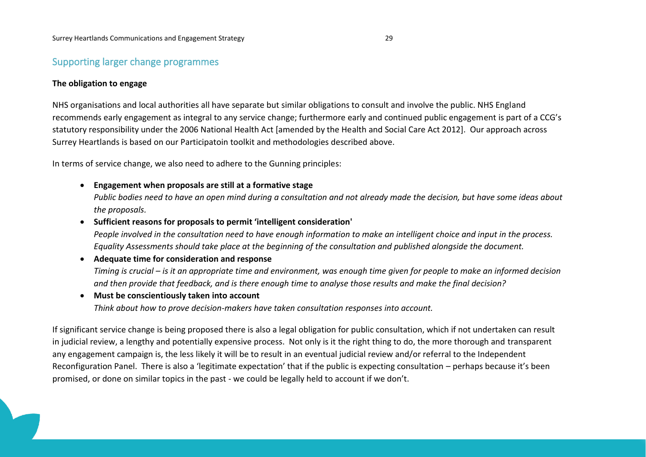# Supporting larger change programmes

### **The obligation to engage**

NHS organisations and local authorities all have separate but similar obligations to consult and involve the public. NHS England recommends early engagement as integral to any service change; furthermore early and continued public engagement is part of a CCG's statutory responsibility under the 2006 National Health Act [amended by the Health and Social Care Act 2012]. Our approach across Surrey Heartlands is based on our Participatoin toolkit and methodologies described above.

In terms of service change, we also need to adhere to the Gunning principles:

• **Engagement when proposals are still at a formative stage**

*Public bodies need to have an open mind during a consultation and not already made the decision, but have some ideas about the proposals.*

• **Sufficient reasons for proposals to permit 'intelligent consideration'**

*People involved in the consultation need to have enough information to make an intelligent choice and input in the process. Equality Assessments should take place at the beginning of the consultation and published alongside the document.*

### • **Adequate time for consideration and response**

*Timing is crucial – is it an appropriate time and environment, was enough time given for people to make an informed decision and then provide that feedback, and is there enough time to analyse those results and make the final decision?*

#### • **Must be conscientiously taken into account**

*Think about how to prove decision-makers have taken consultation responses into account.*

If significant service change is being proposed there is also a legal obligation for public consultation, which if not undertaken can result in judicial review, a lengthy and potentially expensive process. Not only is it the right thing to do, the more thorough and transparent any engagement campaign is, the less likely it will be to result in an eventual judicial review and/or referral to the Independent Reconfiguration Panel. There is also a 'legitimate expectation' that if the public is expecting consultation – perhaps because it's been promised, or done on similar topics in the past - we could be legally held to account if we don't.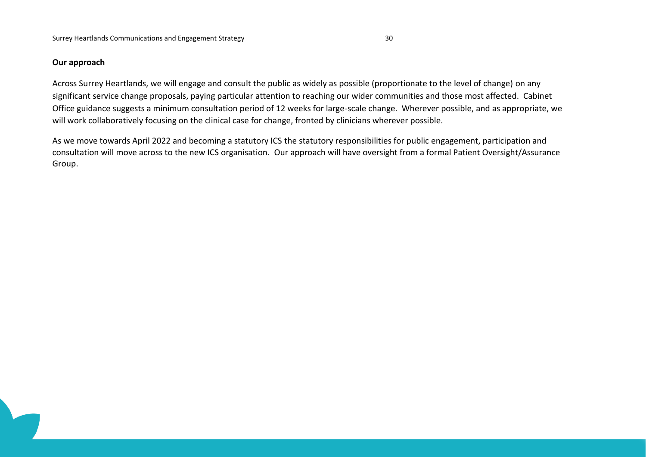### **Our approach**

Across Surrey Heartlands, we will engage and consult the public as widely as possible (proportionate to the level of change) on any significant service change proposals, paying particular attention to reaching our wider communities and those most affected. Cabinet Office guidance suggests a minimum consultation period of 12 weeks for large-scale change. Wherever possible, and as appropriate, we will work collaboratively focusing on the clinical case for change, fronted by clinicians wherever possible.

As we move towards April 2022 and becoming a statutory ICS the statutory responsibilities for public engagement, participation and consultation will move across to the new ICS organisation. Our approach will have oversight from a formal Patient Oversight/Assurance Group.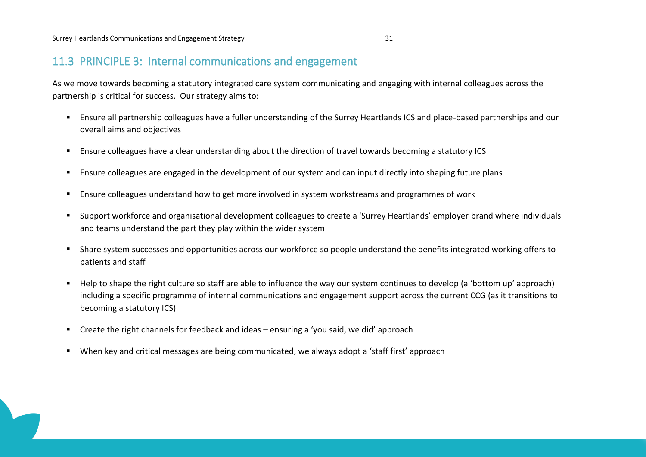# 11.3 PRINCIPLE 3: Internal communications and engagement

As we move towards becoming a statutory integrated care system communicating and engaging with internal colleagues across the partnership is critical for success. Our strategy aims to:

- Ensure all partnership colleagues have a fuller understanding of the Surrey Heartlands ICS and place-based partnerships and our overall aims and objectives
- Ensure colleagues have a clear understanding about the direction of travel towards becoming a statutory ICS
- Ensure colleagues are engaged in the development of our system and can input directly into shaping future plans
- **E** Ensure colleagues understand how to get more involved in system workstreams and programmes of work
- Support workforce and organisational development colleagues to create a 'Surrey Heartlands' employer brand where individuals and teams understand the part they play within the wider system
- Share system successes and opportunities across our workforce so people understand the benefits integrated working offers to patients and staff
- Help to shape the right culture so staff are able to influence the way our system continues to develop (a 'bottom up' approach) including a specific programme of internal communications and engagement support across the current CCG (as it transitions to becoming a statutory ICS)
- Create the right channels for feedback and ideas ensuring a 'you said, we did' approach
- When key and critical messages are being communicated, we always adopt a 'staff first' approach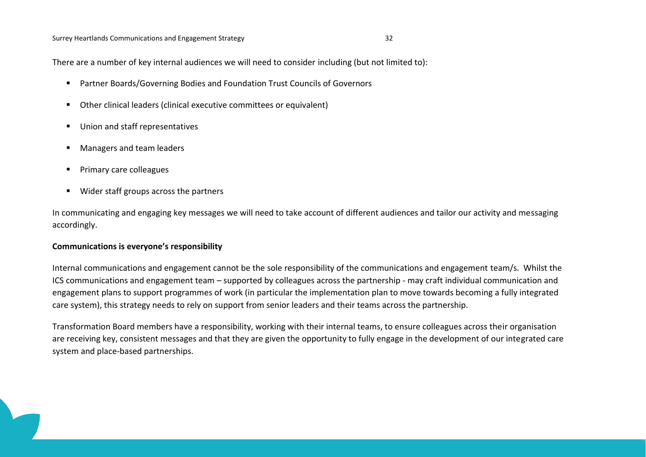There are a number of key internal audiences we will need to consider including (but not limited to):

- Partner Boards/Governing Bodies and Foundation Trust Councils of Governors
- Other clinical leaders (clinical executive committees or equivalent)
- Union and staff representatives
- Managers and team leaders
- Primary care colleagues
- Wider staff groups across the partners

In communicating and engaging key messages we will need to take account of different audiences and tailor our activity and messaging accordingly.

#### **Communications is everyone's responsibility**

Internal communications and engagement cannot be the sole responsibility of the communications and engagement team/s. Whilst the ICS communications and engagement team – supported by colleagues across the partnership - may craft individual communication and engagement plans to support programmes of work (in particular the implementation plan to move towards becoming a fully integrated care system), this strategy needs to rely on support from senior leaders and their teams across the partnership.

Transformation Board members have a responsibility, working with their internal teams, to ensure colleagues across their organisation are receiving key, consistent messages and that they are given the opportunity to fully engage in the development of our integrated care system and place-based partnerships.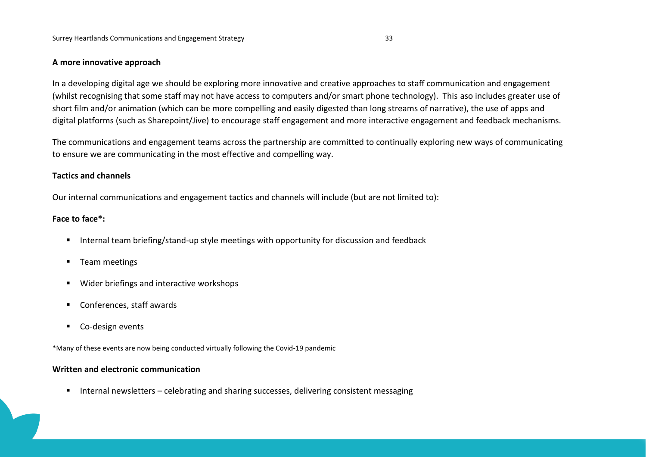#### **A more innovative approach**

In a developing digital age we should be exploring more innovative and creative approaches to staff communication and engagement (whilst recognising that some staff may not have access to computers and/or smart phone technology). This aso includes greater use of short film and/or animation (which can be more compelling and easily digested than long streams of narrative), the use of apps and digital platforms (such as Sharepoint/Jive) to encourage staff engagement and more interactive engagement and feedback mechanisms.

The communications and engagement teams across the partnership are committed to continually exploring new ways of communicating to ensure we are communicating in the most effective and compelling way.

#### **Tactics and channels**

Our internal communications and engagement tactics and channels will include (but are not limited to):

#### **Face to face\*:**

- Internal team briefing/stand-up style meetings with opportunity for discussion and feedback
- Team meetings
- Wider briefings and interactive workshops
- Conferences, staff awards
- Co-design events

\*Many of these events are now being conducted virtually following the Covid-19 pandemic

#### **Written and electronic communication**

■ Internal newsletters – celebrating and sharing successes, delivering consistent messaging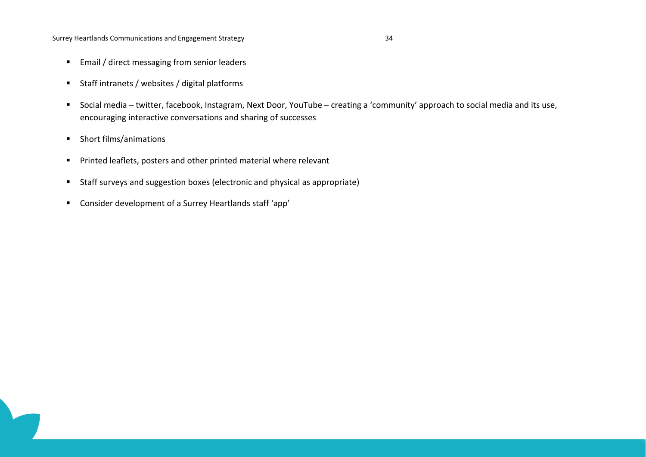Surrey Heartlands Communications and Engagement Strategy 34

- Email / direct messaging from senior leaders
- Staff intranets / websites / digital platforms
- Social media twitter, facebook, Instagram, Next Door, YouTube creating a 'community' approach to social media and its use, encouraging interactive conversations and sharing of successes
- Short films/animations
- Printed leaflets, posters and other printed material where relevant
- Staff surveys and suggestion boxes (electronic and physical as appropriate)
- Consider development of a Surrey Heartlands staff 'app'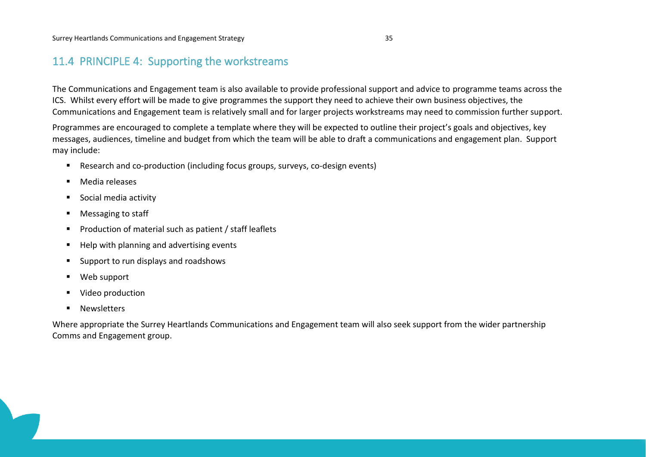# 11.4 PRINCIPLE 4: Supporting the workstreams

The Communications and Engagement team is also available to provide professional support and advice to programme teams across the ICS. Whilst every effort will be made to give programmes the support they need to achieve their own business objectives, the Communications and Engagement team is relatively small and for larger projects workstreams may need to commission further support.

Programmes are encouraged to complete a template where they will be expected to outline their project's goals and objectives, key messages, audiences, timeline and budget from which the team will be able to draft a communications and engagement plan. Support may include:

- Research and co-production (including focus groups, surveys, co-design events)
- Media releases
- Social media activity
- Messaging to staff
- Production of material such as patient / staff leaflets
- Help with planning and advertising events
- Support to run displays and roadshows
- Web support
- Video production
- Newsletters

Where appropriate the Surrey Heartlands Communications and Engagement team will also seek support from the wider partnership Comms and Engagement group.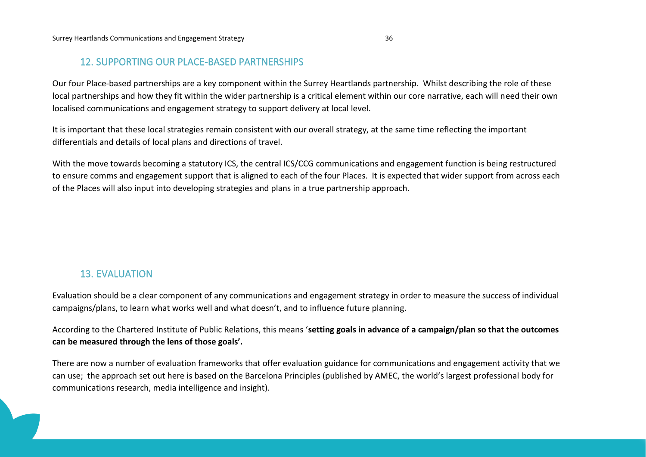# 12. SUPPORTING OUR PLACE-BASED PARTNERSHIPS

Our four Place-based partnerships are a key component within the Surrey Heartlands partnership. Whilst describing the role of these local partnerships and how they fit within the wider partnership is a critical element within our core narrative, each will need their own localised communications and engagement strategy to support delivery at local level.

It is important that these local strategies remain consistent with our overall strategy, at the same time reflecting the important differentials and details of local plans and directions of travel.

With the move towards becoming a statutory ICS, the central ICS/CCG communications and engagement function is being restructured to ensure comms and engagement support that is aligned to each of the four Places. It is expected that wider support from across each of the Places will also input into developing strategies and plans in a true partnership approach.

# 13. EVALUATION

Evaluation should be a clear component of any communications and engagement strategy in order to measure the success of individual campaigns/plans, to learn what works well and what doesn't, and to influence future planning.

According to the Chartered Institute of Public Relations, this means '**setting goals in advance of a campaign/plan so that the outcomes can be measured through the lens of those goals'.**

There are now a number of evaluation frameworks that offer evaluation guidance for communications and engagement activity that we can use; the approach set out here is based on the Barcelona Principles (published by AMEC, the world's largest professional body for communications research, media intelligence and insight).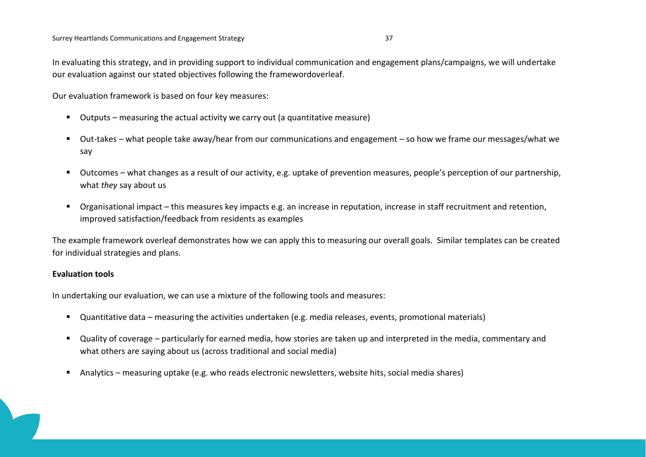In evaluating this strategy, and in providing support to individual communication and engagement plans/campaigns, we will undertake our evaluation against our stated objectives following the framewordoverleaf.

Our evaluation framework is based on four key measures:

- Outputs measuring the actual activity we carry out (a quantitative measure)
- Out-takes what people take away/hear from our communications and engagement so how we frame our messages/what we say
- Outcomes what changes as a result of our activity, e.g. uptake of prevention measures, people's perception of our partnership, what *they* say about us
- Organisational impact this measures key impacts e.g. an increase in reputation, increase in staff recruitment and retention, improved satisfaction/feedback from residents as examples

The example framework overleaf demonstrates how we can apply this to measuring our overall goals. Similar templates can be created for individual strategies and plans.

#### **Evaluation tools**

In undertaking our evaluation, we can use a mixture of the following tools and measures:

- Quantitative data measuring the activities undertaken (e.g. media releases, events, promotional materials)
- Quality of coverage particularly for earned media, how stories are taken up and interpreted in the media, commentary and what others are saying about us (across traditional and social media)
- Analytics measuring uptake (e.g. who reads electronic newsletters, website hits, social media shares)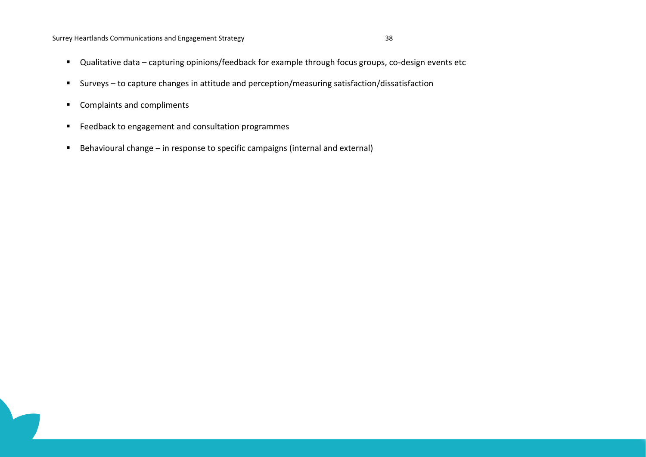#### Surrey Heartlands Communications and Engagement Strategy 38

- Qualitative data capturing opinions/feedback for example through focus groups, co-design events etc
- Surveys to capture changes in attitude and perception/measuring satisfaction/dissatisfaction
- Complaints and compliments
- Feedback to engagement and consultation programmes
- Behavioural change in response to specific campaigns (internal and external)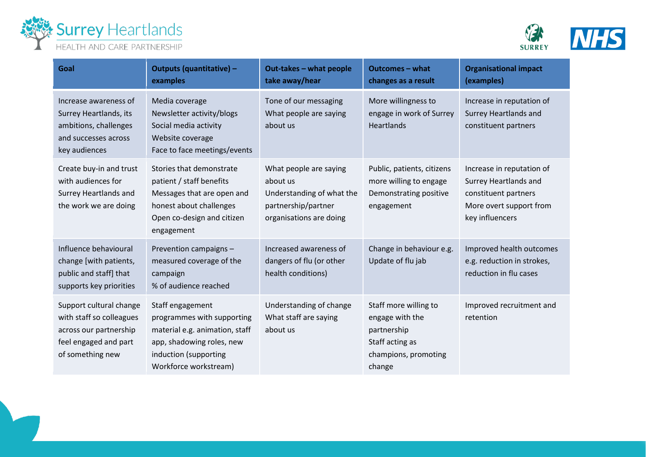



| Goal                                                                                                                       | Outputs (quantitative) -<br>examples                                                                                                                            | Out-takes - what people<br>take away/hear                                                                         | <b>Outcomes - what</b><br>changes as a result                                                                | <b>Organisational impact</b><br>(examples)                                                                               |
|----------------------------------------------------------------------------------------------------------------------------|-----------------------------------------------------------------------------------------------------------------------------------------------------------------|-------------------------------------------------------------------------------------------------------------------|--------------------------------------------------------------------------------------------------------------|--------------------------------------------------------------------------------------------------------------------------|
| Increase awareness of<br>Surrey Heartlands, its<br>ambitions, challenges<br>and successes across<br>key audiences          | Media coverage<br>Newsletter activity/blogs<br>Social media activity<br>Website coverage<br>Face to face meetings/events                                        | Tone of our messaging<br>What people are saying<br>about us                                                       | More willingness to<br>engage in work of Surrey<br><b>Heartlands</b>                                         | Increase in reputation of<br>Surrey Heartlands and<br>constituent partners                                               |
| Create buy-in and trust<br>with audiences for<br>Surrey Heartlands and<br>the work we are doing                            | Stories that demonstrate<br>patient / staff benefits<br>Messages that are open and<br>honest about challenges<br>Open co-design and citizen<br>engagement       | What people are saying<br>about us<br>Understanding of what the<br>partnership/partner<br>organisations are doing | Public, patients, citizens<br>more willing to engage<br>Demonstrating positive<br>engagement                 | Increase in reputation of<br>Surrey Heartlands and<br>constituent partners<br>More overt support from<br>key influencers |
| Influence behavioural<br>change [with patients,<br>public and staff] that<br>supports key priorities                       | Prevention campaigns -<br>measured coverage of the<br>campaign<br>% of audience reached                                                                         | Increased awareness of<br>dangers of flu (or other<br>health conditions)                                          | Change in behaviour e.g.<br>Update of flu jab                                                                | Improved health outcomes<br>e.g. reduction in strokes,<br>reduction in flu cases                                         |
| Support cultural change<br>with staff so colleagues<br>across our partnership<br>feel engaged and part<br>of something new | Staff engagement<br>programmes with supporting<br>material e.g. animation, staff<br>app, shadowing roles, new<br>induction (supporting<br>Workforce workstream) | Understanding of change<br>What staff are saying<br>about us                                                      | Staff more willing to<br>engage with the<br>partnership<br>Staff acting as<br>champions, promoting<br>change | Improved recruitment and<br>retention                                                                                    |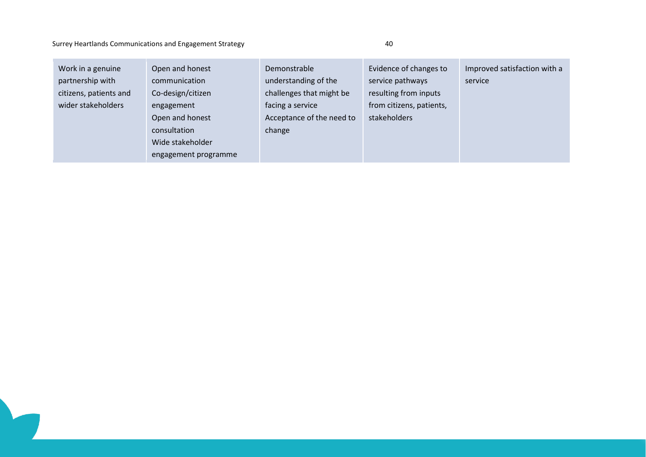### Surrey Heartlands Communications and Engagement Strategy 40

| Work in a genuine<br>partnership with<br>citizens, patients and<br>wider stakeholders | Open and honest<br>communication<br>Co-design/citizen<br>engagement<br>Open and honest<br>consultation<br>Wide stakeholder<br>engagement programme | Demonstrable<br>understanding of the<br>challenges that might be<br>facing a service<br>Acceptance of the need to<br>change | Evidence of changes to<br>service pathways<br>resulting from inputs<br>from citizens, patients,<br>stakeholders | Improved satisfaction with a<br>service |
|---------------------------------------------------------------------------------------|----------------------------------------------------------------------------------------------------------------------------------------------------|-----------------------------------------------------------------------------------------------------------------------------|-----------------------------------------------------------------------------------------------------------------|-----------------------------------------|
|---------------------------------------------------------------------------------------|----------------------------------------------------------------------------------------------------------------------------------------------------|-----------------------------------------------------------------------------------------------------------------------------|-----------------------------------------------------------------------------------------------------------------|-----------------------------------------|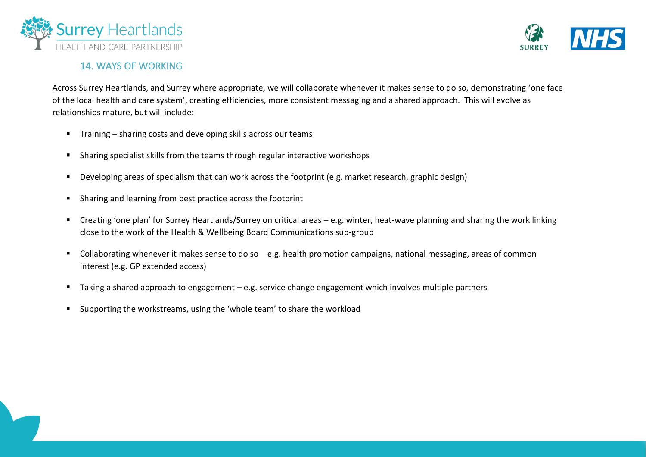



# 14. WAYS OF WORKING

Across Surrey Heartlands, and Surrey where appropriate, we will collaborate whenever it makes sense to do so, demonstrating 'one face of the local health and care system', creating efficiencies, more consistent messaging and a shared approach. This will evolve as relationships mature, but will include:

- Training sharing costs and developing skills across our teams
- Sharing specialist skills from the teams through regular interactive workshops
- Developing areas of specialism that can work across the footprint (e.g. market research, graphic design)
- Sharing and learning from best practice across the footprint
- Creating 'one plan' for Surrey Heartlands/Surrey on critical areas e.g. winter, heat-wave planning and sharing the work linking close to the work of the Health & Wellbeing Board Communications sub-group
- Collaborating whenever it makes sense to do so e.g. health promotion campaigns, national messaging, areas of common interest (e.g. GP extended access)
- Taking a shared approach to engagement e.g. service change engagement which involves multiple partners
- Supporting the workstreams, using the 'whole team' to share the workload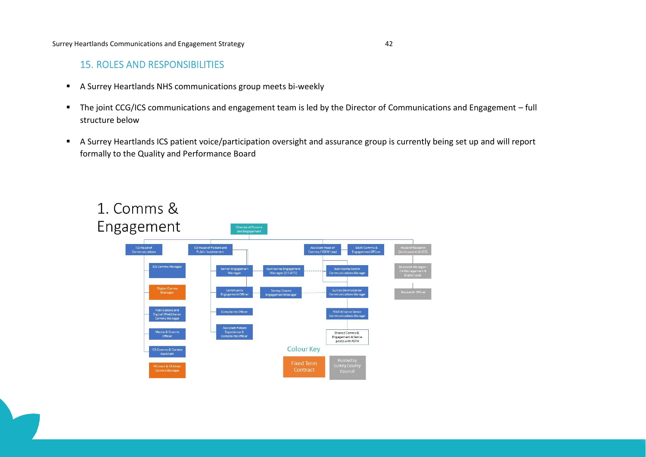# 15. ROLES AND RESPONSIBILITIES

- A Surrey Heartlands NHS communications group meets bi-weekly
- The joint CCG/ICS communications and engagement team is led by the Director of Communications and Engagement full structure below
- A Surrey Heartlands ICS patient voice/participation oversight and assurance group is currently being set up and will report formally to the Quality and Performance Board

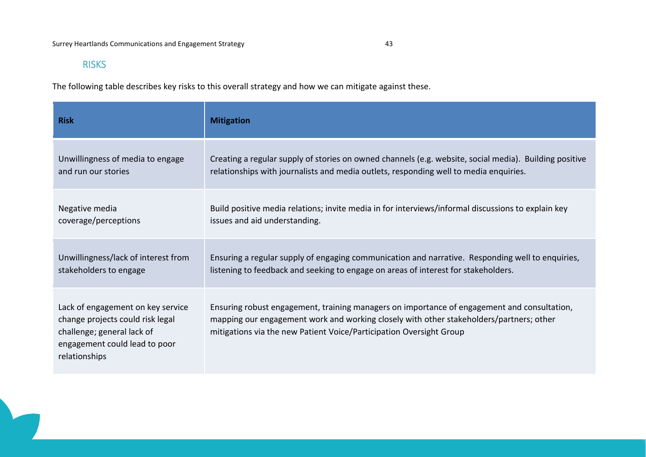# RISKS

The following table describes key risks to this overall strategy and how we can mitigate against these.

| <b>Risk</b>                                                                                                                                           | <b>Mitigation</b>                                                                                                                                                                                                                                             |
|-------------------------------------------------------------------------------------------------------------------------------------------------------|---------------------------------------------------------------------------------------------------------------------------------------------------------------------------------------------------------------------------------------------------------------|
| Unwillingness of media to engage                                                                                                                      | Creating a regular supply of stories on owned channels (e.g. website, social media). Building positive                                                                                                                                                        |
| and run our stories                                                                                                                                   | relationships with journalists and media outlets, responding well to media enquiries.                                                                                                                                                                         |
| Negative media                                                                                                                                        | Build positive media relations; invite media in for interviews/informal discussions to explain key                                                                                                                                                            |
| coverage/perceptions                                                                                                                                  | issues and aid understanding.                                                                                                                                                                                                                                 |
| Unwillingness/lack of interest from                                                                                                                   | Ensuring a regular supply of engaging communication and narrative. Responding well to enquiries,                                                                                                                                                              |
| stakeholders to engage                                                                                                                                | listening to feedback and seeking to engage on areas of interest for stakeholders.                                                                                                                                                                            |
| Lack of engagement on key service<br>change projects could risk legal<br>challenge; general lack of<br>engagement could lead to poor<br>relationships | Ensuring robust engagement, training managers on importance of engagement and consultation,<br>mapping our engagement work and working closely with other stakeholders/partners; other<br>mitigations via the new Patient Voice/Participation Oversight Group |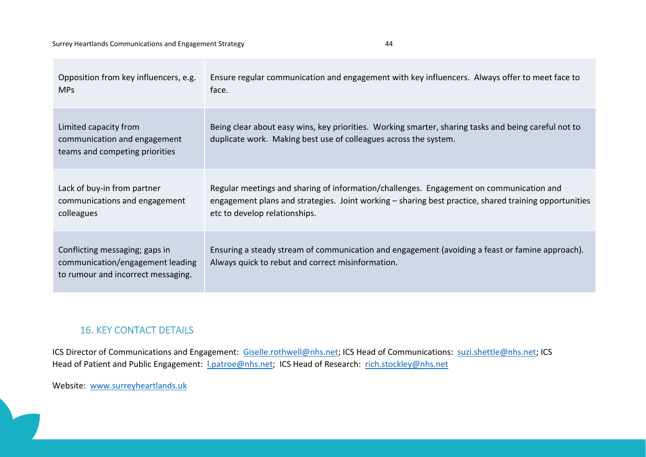|   | ۰. |  |
|---|----|--|
| ٦ |    |  |

| Opposition from key influencers, e.g.                                                                    | Ensure regular communication and engagement with key influencers. Always offer to meet face to                                                                           |
|----------------------------------------------------------------------------------------------------------|--------------------------------------------------------------------------------------------------------------------------------------------------------------------------|
| <b>MPs</b>                                                                                               | face.                                                                                                                                                                    |
| Limited capacity from<br>communication and engagement<br>teams and competing priorities                  | Being clear about easy wins, key priorities. Working smarter, sharing tasks and being careful not to<br>duplicate work. Making best use of colleagues across the system. |
| Lack of buy-in from partner                                                                              | Regular meetings and sharing of information/challenges. Engagement on communication and                                                                                  |
| communications and engagement                                                                            | engagement plans and strategies. Joint working – sharing best practice, shared training opportunities                                                                    |
| colleagues                                                                                               | etc to develop relationships.                                                                                                                                            |
| Conflicting messaging; gaps in<br>communication/engagement leading<br>to rumour and incorrect messaging. | Ensuring a steady stream of communication and engagement (avoiding a feast or famine approach).<br>Always quick to rebut and correct misinformation.                     |

# 16. KEY CONTACT DETAILS

ICS Director of Communications and Engagement: [Giselle.rothwell@nhs.net;](mailto:Giselle.rothwell@nhs.net) ICS Head of Communications: [suzi.shettle@nhs.net;](mailto:suzi.shettle@nhs.net) ICS Head of Patient and Public Engagement: *Lpatroe@nhs.net*; ICS Head of Research: [rich.stockley@nhs.net](mailto:rich.stockley@nhs.net)

Website: [www.surreyheartlands.uk](mailto:communications.engagementteam@nwsurreyccg.nhs.uk)